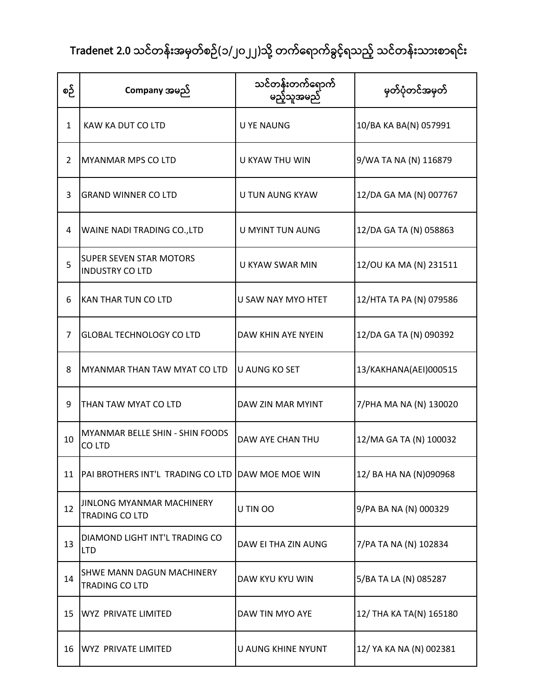| စဉ်            | Company အမည်                                              | သင်တန်းတက်ရောက်<br>မည့်သူအမည် | မှတ်ပုံတင်အမှတ်         |
|----------------|-----------------------------------------------------------|-------------------------------|-------------------------|
| 1              | KAW KA DUT CO LTD                                         | <b>U YE NAUNG</b>             | 10/BA KA BA(N) 057991   |
| 2              | <b>MYANMAR MPS CO LTD</b>                                 | <b>U KYAW THU WIN</b>         | 9/WA TA NA (N) 116879   |
| 3              | <b>GRAND WINNER CO LTD</b>                                | <b>U TUN AUNG KYAW</b>        | 12/DA GA MA (N) 007767  |
| 4              | WAINE NADI TRADING CO., LTD                               | U MYINT TUN AUNG              | 12/DA GA TA (N) 058863  |
| 5              | <b>SUPER SEVEN STAR MOTORS</b><br><b>INDUSTRY CO LTD</b>  | <b>U KYAW SWAR MIN</b>        | 12/OU KA MA (N) 231511  |
| 6              | KAN THAR TUN CO LTD                                       | U SAW NAY MYO HTET            | 12/HTA TA PA (N) 079586 |
| $\overline{7}$ | <b>GLOBAL TECHNOLOGY CO LTD</b>                           | DAW KHIN AYE NYEIN            | 12/DA GA TA (N) 090392  |
| 8              | MYANMAR THAN TAW MYAT CO LTD                              | <b>U AUNG KO SET</b>          | 13/KAKHANA(AEI)000515   |
| 9              | THAN TAW MYAT CO LTD                                      | DAW ZIN MAR MYINT             | 7/PHA MA NA (N) 130020  |
| 10             | <b>MYANMAR BELLE SHIN - SHIN FOODS</b><br>CO LTD          | DAW AYE CHAN THU              | 12/MA GA TA (N) 100032  |
| 11             | PAI BROTHERS INT'L TRADING CO LTD DAW MOE MOE WIN         |                               | 12/ BA HA NA (N)090968  |
| 12             | <b>JINLONG MYANMAR MACHINERY</b><br><b>TRADING CO LTD</b> | U TIN OO                      | 9/PA BA NA (N) 000329   |
| 13             | DIAMOND LIGHT INT'L TRADING CO<br><b>LTD</b>              | DAW EI THA ZIN AUNG           | 7/PA TA NA (N) 102834   |
| 14             | <b>SHWE MANN DAGUN MACHINERY</b><br><b>TRADING CO LTD</b> | DAW KYU KYU WIN               | 5/BA TA LA (N) 085287   |
| 15             | <b>WYZ PRIVATE LIMITED</b>                                | DAW TIN MYO AYE               | 12/ THA KA TA(N) 165180 |
| 16             | WYZ PRIVATE LIMITED                                       | U AUNG KHINE NYUNT            | 12/ YA KA NA (N) 002381 |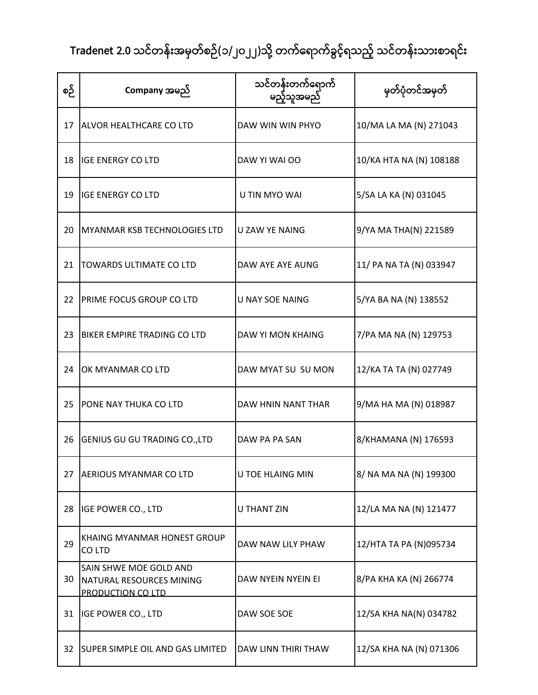| စဉ် | Company အမည်                                                            | သင်တန်းတက်ရောက်<br>မည့်သူအမည် | မှတ်ပုံတင်အမှတ်         |
|-----|-------------------------------------------------------------------------|-------------------------------|-------------------------|
| 17  | <b>ALVOR HEALTHCARE CO LTD</b>                                          | DAW WIN WIN PHYO              | 10/MA LA MA (N) 271043  |
| 18  | <b>IGE ENERGY CO LTD</b>                                                | DAW YI WAI OO                 | 10/KA HTA NA (N) 108188 |
| 19  | <b>IGE ENERGY CO LTD</b>                                                | U TIN MYO WAI                 | 5/SA LA KA (N) 031045   |
| 20  | MYANMAR KSB TECHNOLOGIES LTD                                            | <b>U ZAW YE NAING</b>         | 9/YA MA THA(N) 221589   |
| 21  | <b>TOWARDS ULTIMATE CO LTD</b>                                          | DAW AYE AYE AUNG              | 11/ PA NA TA (N) 033947 |
| 22  | <b>PRIME FOCUS GROUP CO LTD</b>                                         | <b>U NAY SOE NAING</b>        | 5/YA BA NA (N) 138552   |
| 23  | <b>BIKER EMPIRE TRADING CO LTD</b>                                      | <b>DAW YI MON KHAING</b>      | 7/PA MA NA (N) 129753   |
| 24  | OK MYANMAR CO LTD                                                       | DAW MYAT SU SU MON            | 12/KA TA TA (N) 027749  |
| 25  | <b>PONE NAY THUKA CO LTD</b>                                            | DAW HNIN NANT THAR            | 9/MA HA MA (N) 018987   |
| 26  | GENIUS GU GU TRADING CO., LTD                                           | DAW PA PA SAN                 | 8/KHAMANA (N) 176593    |
| 27  | <b>AERIOUS MYANMAR CO LTD</b>                                           | <b>U TOE HLAING MIN</b>       | 8/ NA MA NA (N) 199300  |
| 28  | <b>IGE POWER CO., LTD</b>                                               | <b>U THANT ZIN</b>            | 12/LA MA NA (N) 121477  |
| 29  | KHAING MYANMAR HONEST GROUP<br>CO LTD                                   | DAW NAW LILY PHAW             | 12/HTA TA PA (N)095734  |
| 30  | SAIN SHWE MOE GOLD AND<br>NATURAL RESOURCES MINING<br>PRODUCTION CO LTD | DAW NYEIN NYEIN EI            | 8/PA KHA KA (N) 266774  |
| 31  | <b>IGE POWER CO., LTD</b>                                               | DAW SOE SOE                   | 12/SA KHA NA(N) 034782  |
| 32  | <b>SUPER SIMPLE OIL AND GAS LIMITED</b>                                 | DAW LINN THIRI THAW           | 12/SA KHA NA (N) 071306 |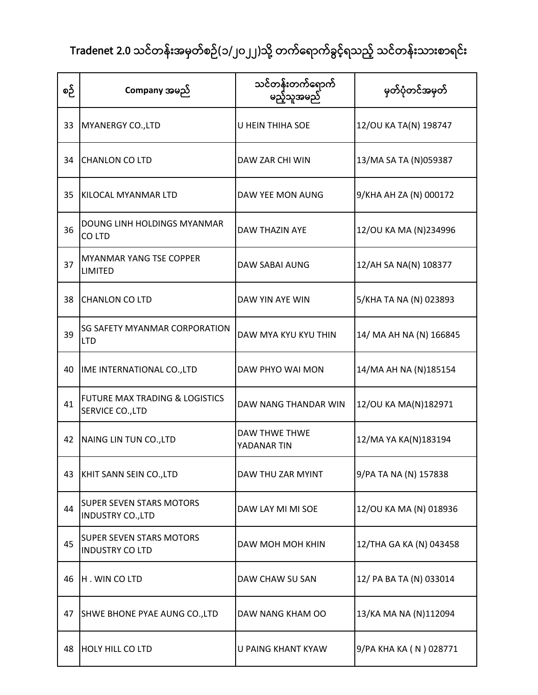| စဉ် | Company အမည်                                                  | သင်တန်းတက်ရောက်<br>မည့်သူအမည်       | မှတ်ပုံတင်အမှတ်         |
|-----|---------------------------------------------------------------|-------------------------------------|-------------------------|
| 33  | MYANERGY CO., LTD                                             | U HEIN THIHA SOE                    | 12/OU KA TA(N) 198747   |
| 34  | <b>CHANLON CO LTD</b>                                         | DAW ZAR CHI WIN                     | 13/MA SA TA (N)059387   |
| 35  | KILOCAL MYANMAR LTD                                           | DAW YEE MON AUNG                    | 9/KHA AH ZA (N) 000172  |
| 36  | DOUNG LINH HOLDINGS MYANMAR<br>CO LTD                         | DAW THAZIN AYE                      | 12/OU KA MA (N)234996   |
| 37  | <b>MYANMAR YANG TSE COPPER</b><br><b>LIMITED</b>              | DAW SABAI AUNG                      | 12/AH SA NA(N) 108377   |
| 38  | <b>CHANLON CO LTD</b>                                         | DAW YIN AYE WIN                     | 5/KHA TA NA (N) 023893  |
| 39  | <b>SG SAFETY MYANMAR CORPORATION</b><br><b>LTD</b>            | DAW MYA KYU KYU THIN                | 14/ MA AH NA (N) 166845 |
| 40  | IME INTERNATIONAL CO., LTD                                    | DAW PHYO WAI MON                    | 14/MA AH NA (N)185154   |
| 41  | <b>FUTURE MAX TRADING &amp; LOGISTICS</b><br>SERVICE CO., LTD | DAW NANG THANDAR WIN                | 12/OU KA MA(N)182971    |
| 42  | NAING LIN TUN CO., LTD                                        | <b>DAW THWE THWE</b><br>YADANAR TIN | 12/MA YA KA(N)183194    |
| 43  | KHIT SANN SEIN CO., LTD                                       | DAW THU ZAR MYINT                   | 9/PA TA NA (N) 157838   |
| 44  | <b>SUPER SEVEN STARS MOTORS</b><br><b>INDUSTRY CO., LTD</b>   | DAW LAY MI MI SOE                   | 12/OU KA MA (N) 018936  |
| 45  | <b>SUPER SEVEN STARS MOTORS</b><br><b>INDUSTRY CO LTD</b>     | DAW MOH MOH KHIN                    | 12/THA GA KA (N) 043458 |
| 46  | H. WIN COLTD                                                  | DAW CHAW SU SAN                     | 12/ PA BA TA (N) 033014 |
| 47  | SHWE BHONE PYAE AUNG CO., LTD                                 | DAW NANG KHAM OO                    | 13/KA MA NA (N)112094   |
| 48  | <b>HOLY HILL CO LTD</b>                                       | <b>U PAING KHANT KYAW</b>           | 9/PA KHA KA (N) 028771  |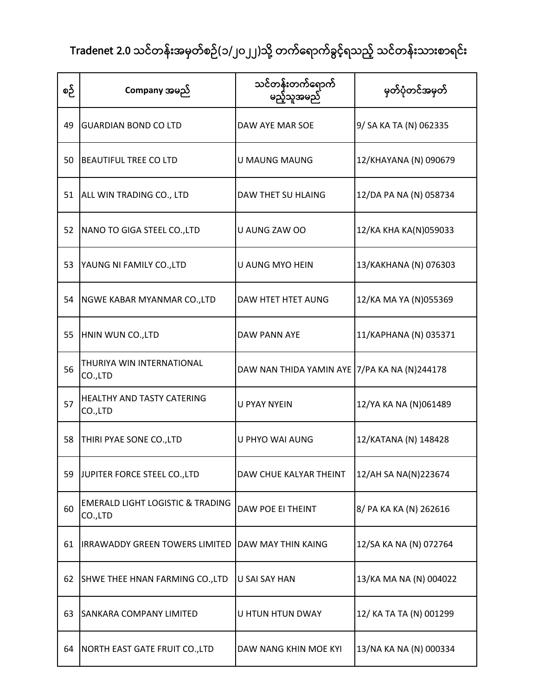| စဉ် | Company အမည်                                           | သင်တန်းတက်ရောက်<br>မည့်သူအမည်                | မှတ်ပုံတင်အမှတ်         |
|-----|--------------------------------------------------------|----------------------------------------------|-------------------------|
| 49  | <b>IGUARDIAN BOND CO LTD</b>                           | DAW AYE MAR SOE                              | 9/ SA KA TA (N) 062335  |
| 50  | <b>BEAUTIFUL TREE CO LTD</b>                           | <b>U MAUNG MAUNG</b>                         | 12/KHAYANA (N) 090679   |
| 51  | ALL WIN TRADING CO., LTD                               | DAW THET SU HLAING                           | 12/DA PA NA (N) 058734  |
| 52  | NANO TO GIGA STEEL CO., LTD                            | U AUNG ZAW OO                                | 12/KA KHA KA(N)059033   |
| 53  | YAUNG NI FAMILY CO., LTD                               | <b>U AUNG MYO HEIN</b>                       | 13/KAKHANA (N) 076303   |
| 54  | NGWE KABAR MYANMAR CO., LTD                            | DAW HTET HTET AUNG                           | 12/KA MA YA (N)055369   |
| 55  | HNIN WUN CO., LTD                                      | DAW PANN AYE                                 | 11/KAPHANA (N) 035371   |
| 56  | THURIYA WIN INTERNATIONAL<br>CO.,LTD                   | DAW NAN THIDA YAMIN AYE 7/PA KA NA (N)244178 |                         |
| 57  | <b>HEALTHY AND TASTY CATERING</b><br>CO.,LTD           | <b>U PYAY NYEIN</b>                          | 12/YA KA NA (N)061489   |
| 58  | THIRI PYAE SONE CO., LTD                               | U PHYO WAI AUNG                              | 12/KATANA (N) 148428    |
| 59  | JUPITER FORCE STEEL CO., LTD                           | DAW CHUE KALYAR THEINT                       | 12/AH SA NA(N)223674    |
| 60  | <b>EMERALD LIGHT LOGISTIC &amp; TRADING</b><br>CO.,LTD | DAW POE EI THEINT                            | 8/ PA KA KA (N) 262616  |
| 61  | <b>IRRAWADDY GREEN TOWERS LIMITED</b>                  | DAW MAY THIN KAING                           | 12/SA KA NA (N) 072764  |
| 62  | SHWE THEE HNAN FARMING CO., LTD                        | U SAI SAY HAN                                | 13/KA MA NA (N) 004022  |
| 63  | <b>SANKARA COMPANY LIMITED</b>                         | U HTUN HTUN DWAY                             | 12/ KA TA TA (N) 001299 |
| 64  | NORTH EAST GATE FRUIT CO., LTD                         | DAW NANG KHIN MOE KYI                        | 13/NA KA NA (N) 000334  |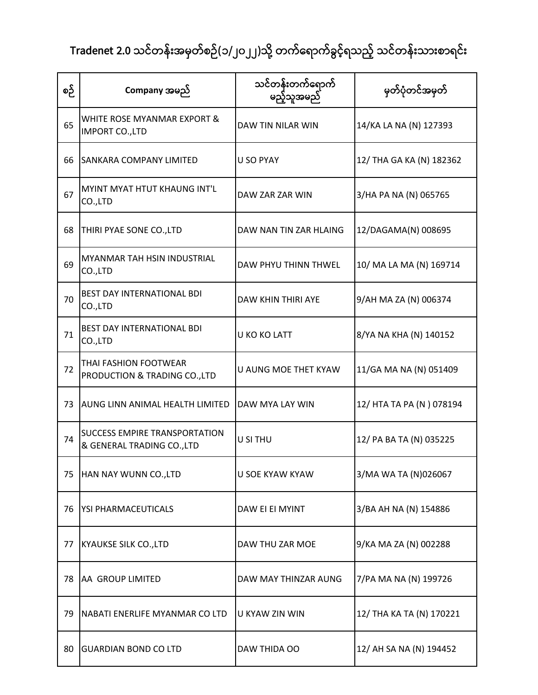| စဉ် | Company အမည်                                                       | သင်တန်းတက်ရောက်<br>မည့်သူအမည် | မှတ်ပုံတင်အမှတ်          |
|-----|--------------------------------------------------------------------|-------------------------------|--------------------------|
| 65  | WHITE ROSE MYANMAR EXPORT &<br><b>IMPORT CO., LTD</b>              | DAW TIN NILAR WIN             | 14/KA LA NA (N) 127393   |
| 66  | <b>SANKARA COMPANY LIMITED</b>                                     | U SO PYAY                     | 12/ THA GA KA (N) 182362 |
| 67  | MYINT MYAT HTUT KHAUNG INT'L<br>CO.,LTD                            | DAW ZAR ZAR WIN               | 3/HA PA NA (N) 065765    |
| 68  | THIRI PYAE SONE CO., LTD                                           | DAW NAN TIN ZAR HLAING        | 12/DAGAMA(N) 008695      |
| 69  | <b>MYANMAR TAH HSIN INDUSTRIAL</b><br>CO.,LTD                      | <b>DAW PHYU THINN THWEL</b>   | 10/ MA LA MA (N) 169714  |
| 70  | <b>BEST DAY INTERNATIONAL BDI</b><br>CO.,LTD                       | DAW KHIN THIRI AYE            | 9/AH MA ZA (N) 006374    |
| 71  | <b>BEST DAY INTERNATIONAL BDI</b><br>CO.,LTD                       | U KO KO LATT                  | 8/YA NA KHA (N) 140152   |
| 72  | THAI FASHION FOOTWEAR<br>PRODUCTION & TRADING CO., LTD             | <b>U AUNG MOE THET KYAW</b>   | 11/GA MA NA (N) 051409   |
| 73  | IAUNG LINN ANIMAL HEALTH LIMITED                                   | DAW MYA LAY WIN               | 12/ HTA TA PA (N) 078194 |
| 74  | <b>SUCCESS EMPIRE TRANSPORTATION</b><br>& GENERAL TRADING CO., LTD | U SI THU                      | 12/ PA BA TA (N) 035225  |
| 75  | HAN NAY WUNN CO., LTD                                              | <b>U SOE KYAW KYAW</b>        | 3/MA WA TA (N)026067     |
| 76  | YSI PHARMACEUTICALS                                                | DAW EI EI MYINT               | 3/BA AH NA (N) 154886    |
| 77  | <b>KYAUKSE SILK CO., LTD</b>                                       | DAW THU ZAR MOE               | 9/KA MA ZA (N) 002288    |
| 78  | AA GROUP LIMITED                                                   | DAW MAY THINZAR AUNG          | 7/PA MA NA (N) 199726    |
| 79  | NABATI ENERLIFE MYANMAR CO LTD                                     | U KYAW ZIN WIN                | 12/ THA KA TA (N) 170221 |
| 80  | <b>GUARDIAN BOND CO LTD</b>                                        | DAW THIDA OO                  | 12/ AH SA NA (N) 194452  |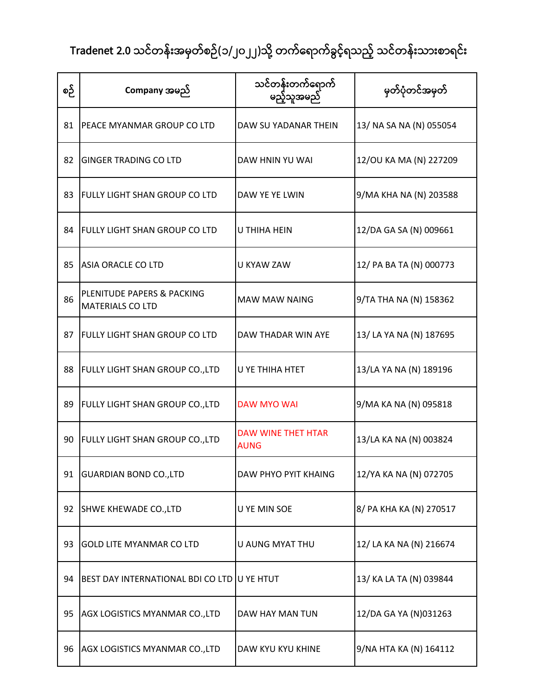| စဉ် | Company အမည်                                                     | သင်တန်းတက်ရောက်<br>မည့်သူအမည်            | မှတ်ပုံတင်အမှတ်         |
|-----|------------------------------------------------------------------|------------------------------------------|-------------------------|
| 81  | <b>PEACE MYANMAR GROUP CO LTD</b>                                | DAW SU YADANAR THEIN                     | 13/ NA SA NA (N) 055054 |
| 82  | <b>GINGER TRADING CO LTD</b>                                     | DAW HNIN YU WAI                          | 12/OU KA MA (N) 227209  |
| 83  | <b>FULLY LIGHT SHAN GROUP CO LTD</b>                             | DAW YE YE LWIN                           | 9/MA KHA NA (N) 203588  |
| 84  | <b>FULLY LIGHT SHAN GROUP CO LTD</b>                             | U THIHA HEIN                             | 12/DA GA SA (N) 009661  |
| 85  | <b>ASIA ORACLE CO LTD</b>                                        | U KYAW ZAW                               | 12/ PA BA TA (N) 000773 |
| 86  | <b>PLENITUDE PAPERS &amp; PACKING</b><br><b>MATERIALS CO LTD</b> | <b>MAW MAW NAING</b>                     | 9/TA THA NA (N) 158362  |
| 87  | <b>FULLY LIGHT SHAN GROUP CO LTD</b>                             | DAW THADAR WIN AYE                       | 13/ LA YA NA (N) 187695 |
| 88  | <b>FULLY LIGHT SHAN GROUP CO., LTD</b>                           | U YE THIHA HTET                          | 13/LA YA NA (N) 189196  |
| 89  | <b>FULLY LIGHT SHAN GROUP CO., LTD</b>                           | <b>DAW MYO WAI</b>                       | 9/MA KA NA (N) 095818   |
| 90  | <b>FULLY LIGHT SHAN GROUP CO., LTD</b>                           | <b>DAW WINE THET HTAR</b><br><b>AUNG</b> | 13/LA KA NA (N) 003824  |
| 91  | <b>GUARDIAN BOND CO., LTD</b>                                    | <b>DAW PHYO PYIT KHAING</b>              | 12/YA KA NA (N) 072705  |
| 92  | SHWE KHEWADE CO., LTD                                            | U YE MIN SOE                             | 8/ PA KHA KA (N) 270517 |
| 93  | <b>GOLD LITE MYANMAR CO LTD</b>                                  | U AUNG MYAT THU                          | 12/ LA KA NA (N) 216674 |
| 94  | BEST DAY INTERNATIONAL BDI CO LTD                                | <b>U YE HTUT</b>                         | 13/ KA LA TA (N) 039844 |
| 95  | AGX LOGISTICS MYANMAR CO., LTD                                   | DAW HAY MAN TUN                          | 12/DA GA YA (N)031263   |
| 96  | AGX LOGISTICS MYANMAR CO., LTD                                   | DAW KYU KYU KHINE                        | 9/NA HTA KA (N) 164112  |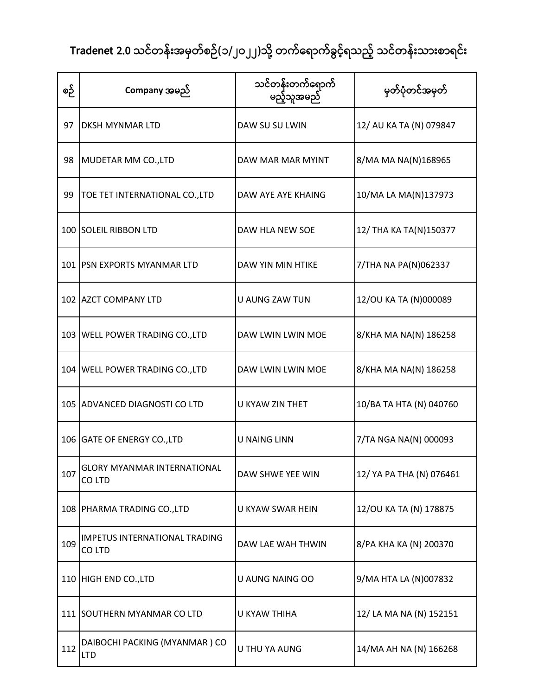| စဉ် | Company အမည်                                   | သင်တန်းတက်ရောက်<br>မည့်သူအမည် | မှတ်ပုံတင်အမှတ်          |
|-----|------------------------------------------------|-------------------------------|--------------------------|
| 97  | <b>DKSH MYNMAR LTD</b>                         | DAW SU SU LWIN                | 12/ AU KA TA (N) 079847  |
| 98  | MUDETAR MM CO., LTD                            | DAW MAR MAR MYINT             | 8/MA MA NA(N)168965      |
| 99  | TOE TET INTERNATIONAL CO., LTD                 | DAW AYE AYE KHAING            | 10/MA LA MA(N)137973     |
|     | 100 SOLEIL RIBBON LTD                          | DAW HLA NEW SOE               | 12/ THA KA TA(N)150377   |
|     | 101 PSN EXPORTS MYANMAR LTD                    | DAW YIN MIN HTIKE             | 7/THA NA PA(N)062337     |
|     | 102 AZCT COMPANY LTD                           | <b>U AUNG ZAW TUN</b>         | 12/OU KA TA (N)000089    |
|     | 103 WELL POWER TRADING CO., LTD                | DAW LWIN LWIN MOE             | 8/KHA MA NA(N) 186258    |
|     | 104 WELL POWER TRADING CO., LTD                | DAW LWIN LWIN MOE             | 8/KHA MA NA(N) 186258    |
|     | 105 ADVANCED DIAGNOSTI CO LTD                  | U KYAW ZIN THET               | 10/BA TA HTA (N) 040760  |
|     | 106 GATE OF ENERGY CO., LTD                    | <b>U NAING LINN</b>           | 7/TA NGA NA(N) 000093    |
| 107 | <b>GLORY MYANMAR INTERNATIONAL</b><br>CO LTD   | DAW SHWE YEE WIN              | 12/ YA PA THA (N) 076461 |
|     | 108 PHARMA TRADING CO., LTD                    | U KYAW SWAR HEIN              | 12/OU KA TA (N) 178875   |
| 109 | <b>IMPETUS INTERNATIONAL TRADING</b><br>CO LTD | DAW LAE WAH THWIN             | 8/PA KHA KA (N) 200370   |
|     | 110 HIGH END CO., LTD                          | U AUNG NAING OO               | 9/MA HTA LA (N)007832    |
|     | 111 SOUTHERN MYANMAR CO LTD                    | U KYAW THIHA                  | 12/ LA MA NA (N) 152151  |
| 112 | DAIBOCHI PACKING (MYANMAR) CO<br><b>LTD</b>    | U THU YA AUNG                 | 14/MA AH NA (N) 166268   |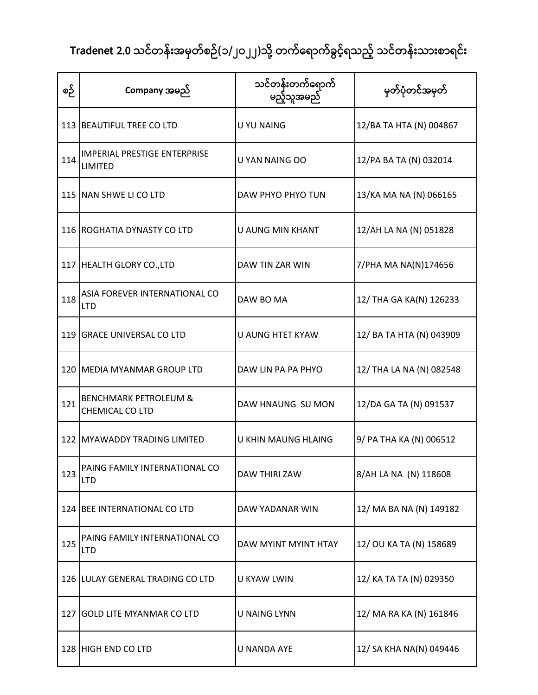| စဉ် | Company အမည်                                          | သင်တန်းတက်ရောက်<br>မည့်သူအမည် | မှတ်ပုံတင်အမှတ်          |
|-----|-------------------------------------------------------|-------------------------------|--------------------------|
|     | 113 BEAUTIFUL TREE CO LTD                             | U YU NAING                    | 12/BA TA HTA (N) 004867  |
| 114 | <b>IMPERIAL PRESTIGE ENTERPRISE</b><br><b>LIMITED</b> | U YAN NAING OO                | 12/PA BA TA (N) 032014   |
|     | 115 NAN SHWE LI CO LTD                                | DAW PHYO PHYO TUN             | 13/KA MA NA (N) 066165   |
|     | 116 ROGHATIA DYNASTY CO LTD                           | U AUNG MIN KHANT              | 12/AH LA NA (N) 051828   |
|     | 117 HEALTH GLORY CO., LTD                             | DAW TIN ZAR WIN               | 7/PHA MA NA(N)174656     |
| 118 | ASIA FOREVER INTERNATIONAL CO<br><b>LTD</b>           | DAW BO MA                     | 12/ THA GA KA(N) 126233  |
|     | 119 GRACE UNIVERSAL CO LTD                            | U AUNG HTET KYAW              | 12/ BA TA HTA (N) 043909 |
|     | 120 MEDIA MYANMAR GROUP LTD                           | DAW LIN PA PA PHYO            | 12/ THA LA NA (N) 082548 |
| 121 | <b>BENCHMARK PETROLEUM &amp;</b><br>CHEMICAL CO LTD   | DAW HNAUNG SU MON             | 12/DA GA TA (N) 091537   |
|     | 122 MYAWADDY TRADING LIMITED                          | U KHIN MAUNG HLAING           | 9/ PA THA KA (N) 006512  |
| 123 | PAING FAMILY INTERNATIONAL CO<br><b>LTD</b>           | <b>DAW THIRI ZAW</b>          | 8/AH LA NA (N) 118608    |
|     | 124 BEE INTERNATIONAL CO LTD                          | DAW YADANAR WIN               | 12/ MA BA NA (N) 149182  |
| 125 | PAING FAMILY INTERNATIONAL CO<br><b>LTD</b>           | DAW MYINT MYINT HTAY          | 12/ OU KA TA (N) 158689  |
|     | 126 LULAY GENERAL TRADING CO LTD                      | U KYAW LWIN                   | 12/ KA TA TA (N) 029350  |
|     | 127 GOLD LITE MYANMAR CO LTD                          | <b>U NAING LYNN</b>           | 12/ MA RA KA (N) 161846  |
|     | 128 HIGH END CO LTD                                   | <b>U NANDA AYE</b>            | 12/ SA KHA NA(N) 049446  |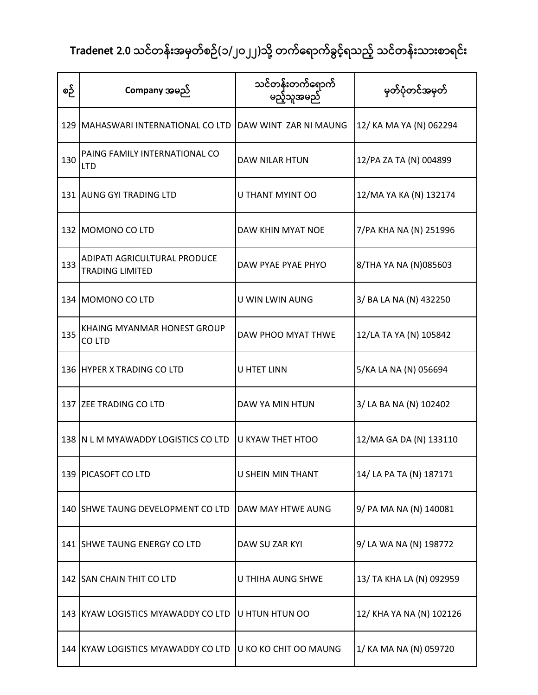| စဉ် | Company အမည်                                           | သင်တန်းတက်ရောက်<br>မည့်သူအမည် | မှတ်ပုံတင်အမှတ်          |
|-----|--------------------------------------------------------|-------------------------------|--------------------------|
|     | 129   MAHASWARI INTERNATIONAL CO LTD                   | DAW WINT ZAR NI MAUNG         | 12/ KA MA YA (N) 062294  |
| 130 | PAING FAMILY INTERNATIONAL CO<br><b>LTD</b>            | DAW NILAR HTUN                | 12/PA ZA TA (N) 004899   |
|     | 131 AUNG GYI TRADING LTD                               | U THANT MYINT OO              | 12/MA YA KA (N) 132174   |
|     | 132 MOMONO CO LTD                                      | DAW KHIN MYAT NOE             | 7/PA KHA NA (N) 251996   |
| 133 | ADIPATI AGRICULTURAL PRODUCE<br><b>TRADING LIMITED</b> | DAW PYAE PYAE PHYO            | 8/THA YA NA (N)085603    |
|     | 134 MOMONO CO LTD                                      | U WIN LWIN AUNG               | 3/ BA LA NA (N) 432250   |
| 135 | <b>KHAING MYANMAR HONEST GROUP</b><br>CO LTD           | DAW PHOO MYAT THWE            | 12/LA TA YA (N) 105842   |
|     | 136 HYPER X TRADING CO LTD                             | <b>U HTET LINN</b>            | 5/KA LA NA (N) 056694    |
|     | 137 ZEE TRADING CO LTD                                 | DAW YA MIN HTUN               | 3/ LA BA NA (N) 102402   |
|     | 138 IN L M MYAWADDY LOGISTICS CO LTD                   | U KYAW THET HTOO              | 12/MA GA DA (N) 133110   |
|     | 139 PICASOFT CO LTD                                    | <b>U SHEIN MIN THANT</b>      | 14/ LA PA TA (N) 187171  |
|     | 140 SHWE TAUNG DEVELOPMENT CO LTD                      | DAW MAY HTWE AUNG             | 9/ PA MA NA (N) 140081   |
|     | 141 SHWE TAUNG ENERGY CO LTD                           | DAW SU ZAR KYI                | 9/ LA WA NA (N) 198772   |
|     | 142 SAN CHAIN THIT CO LTD                              | U THIHA AUNG SHWE             | 13/ TA KHA LA (N) 092959 |
|     | 143 KYAW LOGISTICS MYAWADDY CO LTD                     | U HTUN HTUN OO                | 12/ KHA YA NA (N) 102126 |
|     | 144 KYAW LOGISTICS MYAWADDY CO LTD                     | U KO KO CHIT OO MAUNG         | 1/ KA MA NA (N) 059720   |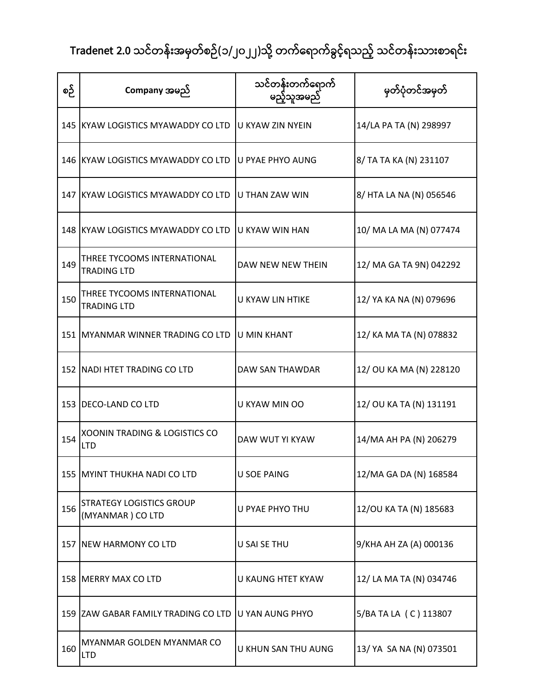| စဉ် | Company အမည်                                           | သင်တန်းတက်ရောက်<br>မည့်သူအမည် | မှတ်ပုံတင်အမှတ်         |
|-----|--------------------------------------------------------|-------------------------------|-------------------------|
|     | 145 KYAW LOGISTICS MYAWADDY CO LTD                     | <b>JU KYAW ZIN NYEIN</b>      | 14/LA PA TA (N) 298997  |
|     | 146 KYAW LOGISTICS MYAWADDY CO LTD                     | U PYAE PHYO AUNG              | 8/ TA TA KA (N) 231107  |
|     | 147 KYAW LOGISTICS MYAWADDY CO LTD                     | U THAN ZAW WIN                | 8/ HTA LA NA (N) 056546 |
|     | 148 KYAW LOGISTICS MYAWADDY CO LTD                     | <b>JU KYAW WIN HAN</b>        | 10/ MA LA MA (N) 077474 |
| 149 | THREE TYCOOMS INTERNATIONAL<br><b>TRADING LTD</b>      | DAW NEW NEW THEIN             | 12/ MA GA TA 9N) 042292 |
| 150 | THREE TYCOOMS INTERNATIONAL<br><b>TRADING LTD</b>      | U KYAW LIN HTIKE              | 12/ YA KA NA (N) 079696 |
|     | 151 MYANMAR WINNER TRADING CO LTD                      | <b>U MIN KHANT</b>            | 12/ KA MA TA (N) 078832 |
|     | 152 NADI HTET TRADING CO LTD                           | DAW SAN THAWDAR               | 12/ OU KA MA (N) 228120 |
|     | 153   DECO-LAND CO LTD                                 | U KYAW MIN OO                 | 12/ OU KA TA (N) 131191 |
| 154 | <b>XOONIN TRADING &amp; LOGISTICS CO</b><br><b>LTD</b> | DAW WUT YI KYAW               | 14/MA AH PA (N) 206279  |
|     | 155 MYINT THUKHA NADI CO LTD                           | <b>U SOE PAING</b>            | 12/MA GA DA (N) 168584  |
| 156 | <b>STRATEGY LOGISTICS GROUP</b><br>(MYANMAR) CO LTD    | U PYAE PHYO THU               | 12/OU KA TA (N) 185683  |
|     | 157 NEW HARMONY CO LTD                                 | U SAI SE THU                  | 9/KHA AH ZA (A) 000136  |
|     | 158 MERRY MAX CO LTD                                   | U KAUNG HTET KYAW             | 12/ LA MA TA (N) 034746 |
|     | 159 ZAW GABAR FAMILY TRADING CO LTD                    | U YAN AUNG PHYO               | 5/BA TA LA (C) 113807   |
| 160 | MYANMAR GOLDEN MYANMAR CO<br><b>LTD</b>                | U KHUN SAN THU AUNG           | 13/ YA SA NA (N) 073501 |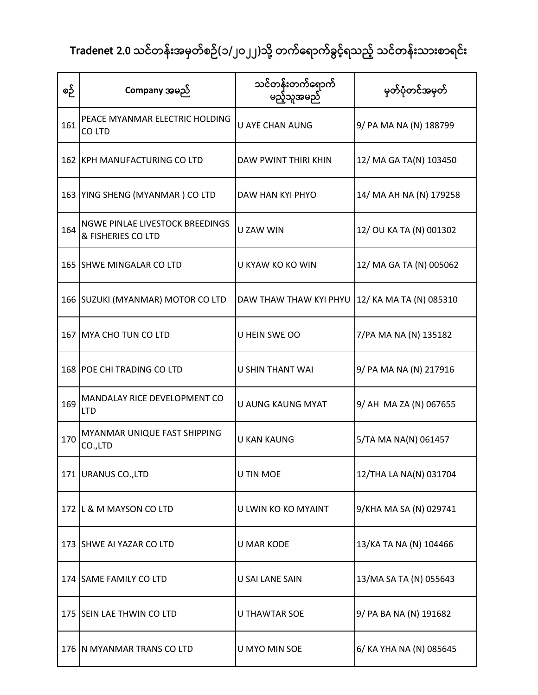| စဉ် | Company အမည်                                                 | သင်တန်းတက်ရောက်<br>မည့်သူအမည် | မှတ်ပုံတင်အမှတ်         |
|-----|--------------------------------------------------------------|-------------------------------|-------------------------|
| 161 | PEACE MYANMAR ELECTRIC HOLDING<br>CO LTD                     | U AYE CHAN AUNG               | 9/ PA MA NA (N) 188799  |
|     | 162 KPH MANUFACTURING CO LTD                                 | DAW PWINT THIRI KHIN          | 12/ MA GA TA(N) 103450  |
|     | 163 YING SHENG (MYANMAR) CO LTD                              | DAW HAN KYI PHYO              | 14/ MA AH NA (N) 179258 |
| 164 | <b>NGWE PINLAE LIVESTOCK BREEDINGS</b><br>& FISHERIES CO LTD | <b>U ZAW WIN</b>              | 12/ OU KA TA (N) 001302 |
|     | 165 SHWE MINGALAR CO LTD                                     | U KYAW KO KO WIN              | 12/ MA GA TA (N) 005062 |
|     | 166 SUZUKI (MYANMAR) MOTOR CO LTD                            | DAW THAW THAW KYI PHYU        | 12/ KA MA TA (N) 085310 |
|     | 167 MYA CHO TUN CO LTD                                       | U HEIN SWE OO                 | 7/PA MA NA (N) 135182   |
|     | 168 POE CHI TRADING CO LTD                                   | <b>U SHIN THANT WAI</b>       | 9/ PA MA NA (N) 217916  |
| 169 | <b>MANDALAY RICE DEVELOPMENT CO</b><br><b>LTD</b>            | U AUNG KAUNG MYAT             | 9/ AH MA ZA (N) 067655  |
| 170 | MYANMAR UNIQUE FAST SHIPPING<br>CO.,LTD                      | U KAN KAUNG                   | 5/TA MA NA(N) 061457    |
|     | 171 URANUS CO., LTD                                          | U TIN MOE                     | 12/THA LA NA(N) 031704  |
|     | 172 L & M MAYSON CO LTD                                      | U LWIN KO KO MYAINT           | 9/KHA MA SA (N) 029741  |
|     | 173 SHWE AI YAZAR CO LTD                                     | <b>U MAR KODE</b>             | 13/KA TA NA (N) 104466  |
|     | 174 SAME FAMILY CO LTD                                       | U SAI LANE SAIN               | 13/MA SA TA (N) 055643  |
|     | 175 SEIN LAE THWIN CO LTD                                    | <b>U THAWTAR SOE</b>          | 9/ PA BA NA (N) 191682  |
|     | 176 N MYANMAR TRANS CO LTD                                   | U MYO MIN SOE                 | 6/ KA YHA NA (N) 085645 |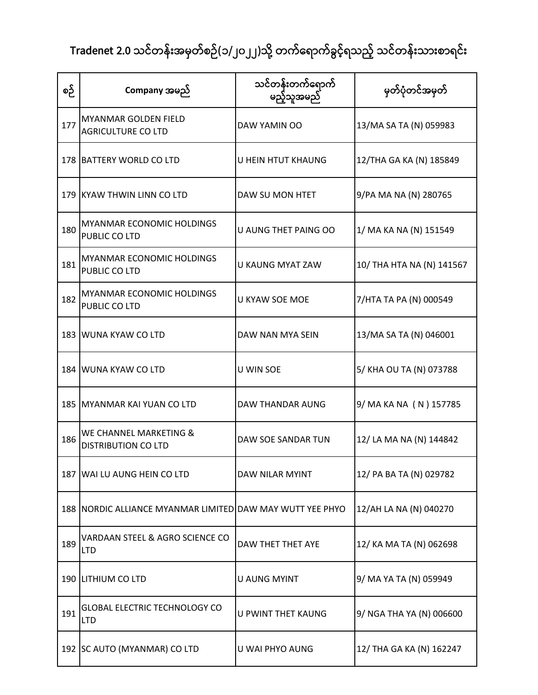| စဉ် | Company အမည်                                              | သင်တန်းတက်ရောက်<br>မည့်သူအမည် | မှတ်ပုံတင်အမှတ်           |
|-----|-----------------------------------------------------------|-------------------------------|---------------------------|
| 177 | <b>MYANMAR GOLDEN FIELD</b><br><b>AGRICULTURE CO LTD</b>  | DAW YAMIN OO                  | 13/MA SA TA (N) 059983    |
|     | 178 BATTERY WORLD CO LTD                                  | U HEIN HTUT KHAUNG            | 12/THA GA KA (N) 185849   |
|     | 179 KYAW THWIN LINN CO LTD                                | DAW SU MON HTET               | 9/PA MA NA (N) 280765     |
| 180 | <b>MYANMAR ECONOMIC HOLDINGS</b><br>PUBLIC CO LTD         | U AUNG THET PAING OO          | 1/ MA KA NA (N) 151549    |
| 181 | <b>MYANMAR ECONOMIC HOLDINGS</b><br>PUBLIC CO LTD         | <b>U KAUNG MYAT ZAW</b>       | 10/ THA HTA NA (N) 141567 |
| 182 | <b>MYANMAR ECONOMIC HOLDINGS</b><br>PUBLIC CO LTD         | <b>U KYAW SOE MOE</b>         | 7/HTA TA PA (N) 000549    |
|     | 183 WUNA KYAW CO LTD                                      | DAW NAN MYA SEIN              | 13/MA SA TA (N) 046001    |
|     | 184 WUNA KYAW CO LTD                                      | U WIN SOE                     | 5/ KHA OU TA (N) 073788   |
|     | 185 MYANMAR KAI YUAN CO LTD                               | DAW THANDAR AUNG              | 9/ MA KA NA (N) 157785    |
| 186 | WE CHANNEL MARKETING &<br><b>DISTRIBUTION CO LTD</b>      | DAW SOE SANDAR TUN            | 12/ LA MA NA (N) 144842   |
|     | 187 WAI LU AUNG HEIN CO LTD                               | DAW NILAR MYINT               | 12/ PA BA TA (N) 029782   |
|     | 188 NORDIC ALLIANCE MYANMAR LIMITED DAW MAY WUTT YEE PHYO |                               | 12/AH LA NA (N) 040270    |
| 189 | VARDAAN STEEL & AGRO SCIENCE CO<br><b>LTD</b>             | DAW THET THET AYE             | 12/ KA MA TA (N) 062698   |
|     | 190 LITHIUM CO LTD                                        | U AUNG MYINT                  | 9/ MA YA TA (N) 059949    |
| 191 | <b>GLOBAL ELECTRIC TECHNOLOGY CO</b><br><b>LTD</b>        | U PWINT THET KAUNG            | 9/ NGA THA YA (N) 006600  |
|     | 192 SC AUTO (MYANMAR) CO LTD                              | U WAI PHYO AUNG               | 12/ THA GA KA (N) 162247  |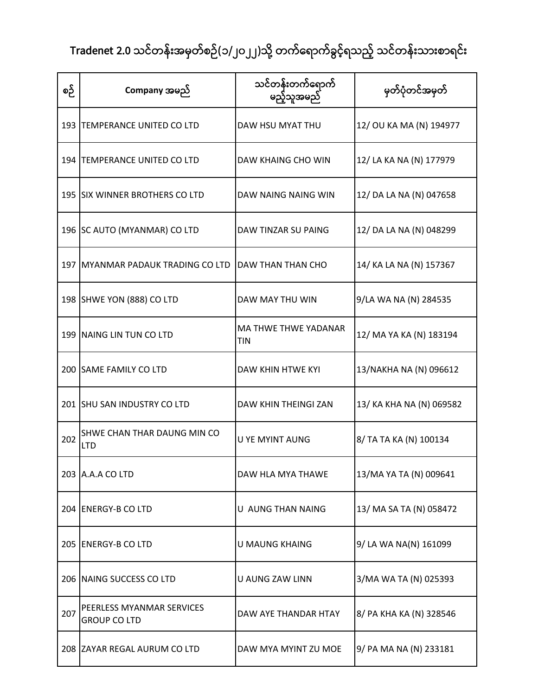| စဉ် | Company အမည်                                     | သင်တန်းတက်ရောက်<br>မည့်သူအမည်             | မှတ်ပုံတင်အမှတ်          |
|-----|--------------------------------------------------|-------------------------------------------|--------------------------|
|     | 193 TEMPERANCE UNITED CO LTD                     | DAW HSU MYAT THU                          | 12/ OU KA MA (N) 194977  |
|     | 194 TEMPERANCE UNITED CO LTD                     | DAW KHAING CHO WIN                        | 12/ LA KA NA (N) 177979  |
|     | 195 SIX WINNER BROTHERS CO LTD                   | DAW NAING NAING WIN                       | 12/ DA LA NA (N) 047658  |
|     | 196 SC AUTO (MYANMAR) CO LTD                     | DAW TINZAR SU PAING                       | 12/ DA LA NA (N) 048299  |
|     | 197 IMYANMAR PADAUK TRADING CO LTD               | DAW THAN THAN CHO                         | 14/ KA LA NA (N) 157367  |
|     | 198 SHWE YON (888) CO LTD                        | DAW MAY THU WIN                           | 9/LA WA NA (N) 284535    |
|     | 199 NAING LIN TUN CO LTD                         | <b>MA THWE THWE YADANAR</b><br><b>TIN</b> | 12/ MA YA KA (N) 183194  |
|     | 200 SAME FAMILY CO LTD                           | <b>DAW KHIN HTWE KYI</b>                  | 13/NAKHA NA (N) 096612   |
|     | 201 SHU SAN INDUSTRY CO LTD                      | DAW KHIN THEINGI ZAN                      | 13/ KA KHA NA (N) 069582 |
| 202 | SHWE CHAN THAR DAUNG MIN CO<br><b>LTD</b>        | <b>U YE MYINT AUNG</b>                    | 8/ TA TA KA (N) 100134   |
|     | 203 A.A.A CO LTD                                 | DAW HLA MYA THAWE                         | 13/MA YA TA (N) 009641   |
|     | 204 ENERGY-B CO LTD                              | U AUNG THAN NAING                         | 13/ MA SA TA (N) 058472  |
|     | 205 ENERGY-B CO LTD                              | <b>U MAUNG KHAING</b>                     | 9/LA WA NA(N) 161099     |
|     | 206 NAING SUCCESS CO LTD                         | U AUNG ZAW LINN                           | 3/MA WA TA (N) 025393    |
| 207 | PEERLESS MYANMAR SERVICES<br><b>GROUP CO LTD</b> | DAW AYE THANDAR HTAY                      | 8/ PA KHA KA (N) 328546  |
|     | 208 ZAYAR REGAL AURUM CO LTD                     | DAW MYA MYINT ZU MOE                      | 9/ PA MA NA (N) 233181   |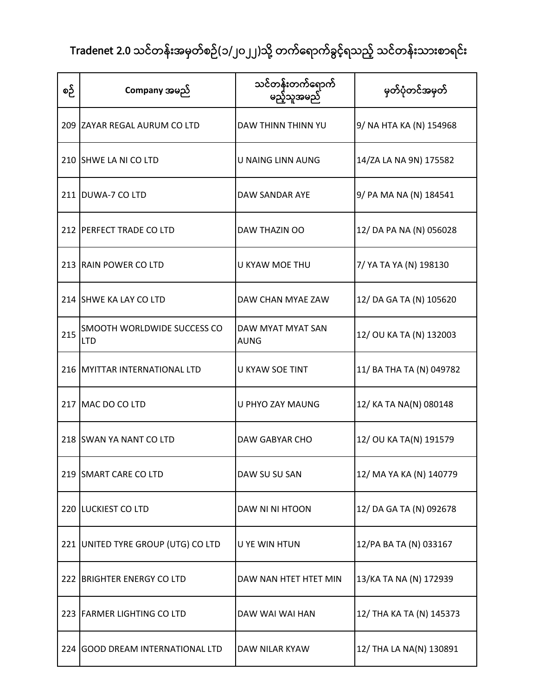| စဉ် | Company အမည်                                     | သင်တန်းတက်ရောက်<br>မည့်သူအမည်    | မှတ်ပုံတင်အမှတ်          |
|-----|--------------------------------------------------|----------------------------------|--------------------------|
|     | 209 ZAYAR REGAL AURUM CO LTD                     | DAW THINN THINN YU               | 9/ NA HTA KA (N) 154968  |
|     | 210 SHWE LA NI CO LTD                            | <b>U NAING LINN AUNG</b>         | 14/ZA LA NA 9N) 175582   |
|     | 211 DUWA-7 CO LTD                                | DAW SANDAR AYE                   | 9/ PA MA NA (N) 184541   |
|     | 212 PERFECT TRADE CO LTD                         | DAW THAZIN OO                    | 12/ DA PA NA (N) 056028  |
|     | 213 RAIN POWER CO LTD                            | <b>U KYAW MOE THU</b>            | 7/ YA TA YA (N) 198130   |
|     | 214 SHWE KA LAY CO LTD                           | DAW CHAN MYAE ZAW                | 12/ DA GA TA (N) 105620  |
| 215 | <b>SMOOTH WORLDWIDE SUCCESS CO</b><br><b>LTD</b> | DAW MYAT MYAT SAN<br><b>AUNG</b> | 12/ OU KA TA (N) 132003  |
|     | 216 MYITTAR INTERNATIONAL LTD                    | <b>U KYAW SOE TINT</b>           | 11/ BA THA TA (N) 049782 |
|     | 217 MAC DO CO LTD                                | U PHYO ZAY MAUNG                 | 12/ KA TA NA(N) 080148   |
|     | 218 SWAN YA NANT CO LTD                          | DAW GABYAR CHO                   | 12/ OU KA TA(N) 191579   |
|     | 219 SMART CARE CO LTD                            | DAW SU SU SAN                    | 12/ MA YA KA (N) 140779  |
|     | 220 LUCKIEST CO LTD                              | DAW NI NI HTOON                  | 12/ DA GA TA (N) 092678  |
|     | 221 UNITED TYRE GROUP (UTG) CO LTD               | <b>U YE WIN HTUN</b>             | 12/PA BA TA (N) 033167   |
|     | 222 BRIGHTER ENERGY CO LTD                       | DAW NAN HTET HTET MIN            | 13/KA TA NA (N) 172939   |
|     | 223 FARMER LIGHTING CO LTD                       | DAW WAI WAI HAN                  | 12/ THA KA TA (N) 145373 |
|     | 224 GOOD DREAM INTERNATIONAL LTD                 | DAW NILAR KYAW                   | 12/ THA LA NA(N) 130891  |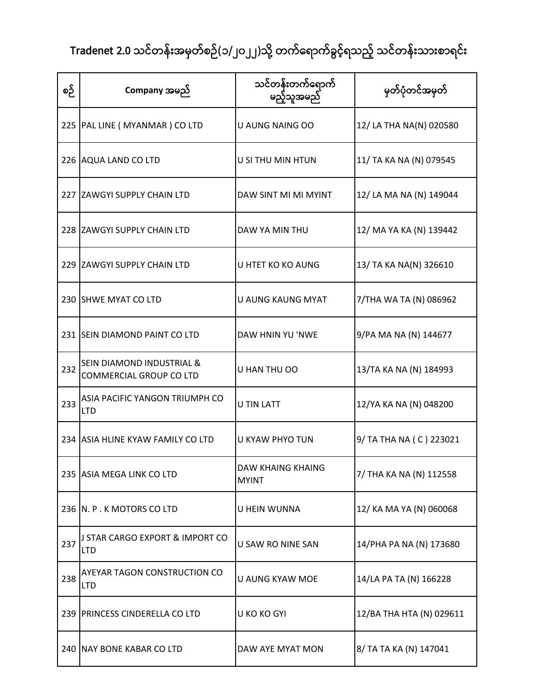| စဉ် | Company အမည်                                                           | သင်တန်းတက်ရောက်<br>မည့်သူအမည်     | မှတ်ပုံတင်အမှတ်          |
|-----|------------------------------------------------------------------------|-----------------------------------|--------------------------|
|     | 225   PAL LINE ( MYANMAR ) CO LTD                                      | U AUNG NAING OO                   | 12/ LA THA NA(N) 020580  |
|     | 226 AQUA LAND CO LTD                                                   | U SI THU MIN HTUN                 | 11/ TA KA NA (N) 079545  |
|     | 227 ZAWGYI SUPPLY CHAIN LTD                                            | DAW SINT MI MI MYINT              | 12/ LA MA NA (N) 149044  |
|     | 228 ZAWGYI SUPPLY CHAIN LTD                                            | DAW YA MIN THU                    | 12/ MA YA KA (N) 139442  |
|     | 229 ZAWGYI SUPPLY CHAIN LTD                                            | U HTET KO KO AUNG                 | 13/ TA KA NA(N) 326610   |
|     | 230 SHWE MYAT CO LTD                                                   | U AUNG KAUNG MYAT                 | 7/THA WA TA (N) 086962   |
|     | 231 SEIN DIAMOND PAINT CO LTD                                          | DAW HNIN YU 'NWE                  | 9/PA MA NA (N) 144677    |
| 232 | <b>SEIN DIAMOND INDUSTRIAL &amp;</b><br><b>COMMERCIAL GROUP CO LTD</b> | U HAN THU OO                      | 13/TA KA NA (N) 184993   |
| 233 | ASIA PACIFIC YANGON TRIUMPH CO<br><b>LTD</b>                           | <b>U TIN LATT</b>                 | 12/YA KA NA (N) 048200   |
|     | 234 ASIA HLINE KYAW FAMILY CO LTD                                      | U KYAW PHYO TUN                   | 9/ TA THA NA (C) 223021  |
|     | 235 ASIA MEGA LINK CO LTD                                              | DAW KHAING KHAING<br><b>MYINT</b> | 7/ THA KA NA (N) 112558  |
|     | 236 N. P. K MOTORS CO LTD                                              | U HEIN WUNNA                      | 12/ KA MA YA (N) 060068  |
| 237 | J STAR CARGO EXPORT & IMPORT CO<br><b>LTD</b>                          | U SAW RO NINE SAN                 | 14/PHA PA NA (N) 173680  |
| 238 | AYEYAR TAGON CONSTRUCTION CO<br><b>LTD</b>                             | U AUNG KYAW MOE                   | 14/LA PA TA (N) 166228   |
|     | 239 PRINCESS CINDERELLA CO LTD                                         | U KO KO GYI                       | 12/BA THA HTA (N) 029611 |
|     | 240 NAY BONE KABAR CO LTD                                              | DAW AYE MYAT MON                  | 8/ TA TA KA (N) 147041   |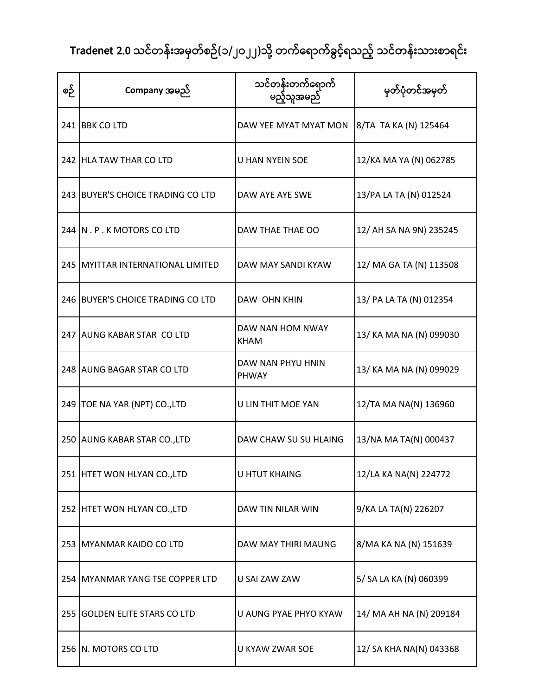| စဉ် | Company အမည်                      | သင်တန်းတက်ရောက်<br>မည့်သူအမည်   | မှတ်ပုံတင်အမှတ်         |
|-----|-----------------------------------|---------------------------------|-------------------------|
|     | 241 BBK CO LTD                    | DAW YEE MYAT MYAT MON           | 8/TA TA KA (N) 125464   |
|     | 242 HLA TAW THAR CO LTD           | <b>U HAN NYEIN SOE</b>          | 12/KA MA YA (N) 062785  |
|     | 243 BUYER'S CHOICE TRADING CO LTD | DAW AYE AYE SWE                 | 13/PA LA TA (N) 012524  |
|     | 244 N.P.K MOTORS COLTD            | DAW THAE THAE OO                | 12/ AH SA NA 9N) 235245 |
|     | 245 MYITTAR INTERNATIONAL LIMITED | DAW MAY SANDI KYAW              | 12/ MA GA TA (N) 113508 |
|     | 246 BUYER'S CHOICE TRADING CO LTD | DAW OHN KHIN                    | 13/ PA LA TA (N) 012354 |
|     | 247 AUNG KABAR STAR COLTD         | DAW NAN HOM NWAY<br><b>KHAM</b> | 13/ KA MA NA (N) 099030 |
|     | 248 AUNG BAGAR STAR CO LTD        | DAW NAN PHYU HNIN<br>PHWAY      | 13/ KA MA NA (N) 099029 |
|     | 249   TOE NA YAR (NPT) CO., LTD   | U LIN THIT MOE YAN              | 12/TA MA NA(N) 136960   |
|     | 250 AUNG KABAR STAR CO., LTD      | DAW CHAW SU SU HLAING           | 13/NA MA TA(N) 000437   |
|     | 251 HTET WON HLYAN CO., LTD       | <b>U HTUT KHAING</b>            | 12/LA KA NA(N) 224772   |
|     | 252 HTET WON HLYAN CO., LTD       | DAW TIN NILAR WIN               | 9/KA LA TA(N) 226207    |
|     | 253 MYANMAR KAIDO CO LTD          | DAW MAY THIRI MAUNG             | 8/MA KA NA (N) 151639   |
|     | 254 MYANMAR YANG TSE COPPER LTD   | U SAI ZAW ZAW                   | 5/ SA LA KA (N) 060399  |
|     | 255 GOLDEN ELITE STARS CO LTD     | U AUNG PYAE PHYO KYAW           | 14/ MA AH NA (N) 209184 |
|     | 256 N. MOTORS CO LTD              | U KYAW ZWAR SOE                 | 12/ SA KHA NA(N) 043368 |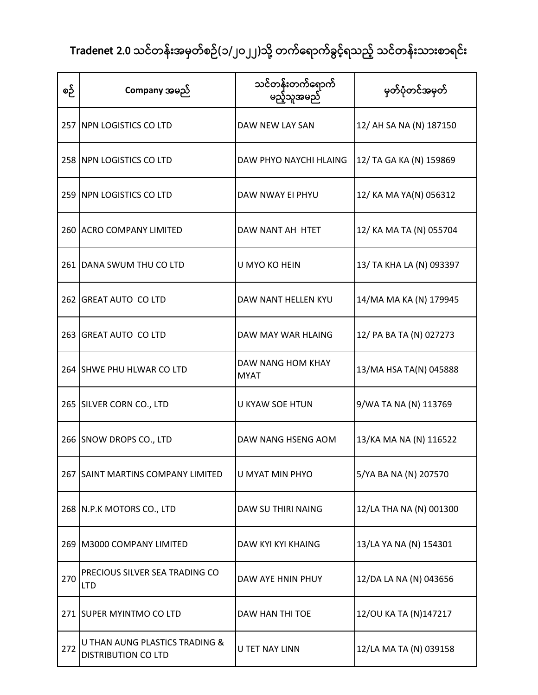| စဉ် | Company အမည်                                                 | သင်တန်းတက်ရောက်<br>မည့်သူအမည်    | မှတ်ပုံတင်အမှတ်          |
|-----|--------------------------------------------------------------|----------------------------------|--------------------------|
|     | 257 NPN LOGISTICS CO LTD                                     | DAW NEW LAY SAN                  | 12/ AH SA NA (N) 187150  |
|     | 258 INPN LOGISTICS CO LTD                                    | DAW PHYO NAYCHI HLAING           | 12/ TA GA KA (N) 159869  |
|     | 259 NPN LOGISTICS CO LTD                                     | DAW NWAY EI PHYU                 | 12/ KA MA YA(N) 056312   |
|     | 260 ACRO COMPANY LIMITED                                     | DAW NANT AH HTET                 | 12/ KA MA TA (N) 055704  |
|     | 261 DANA SWUM THU CO LTD                                     | U MYO KO HEIN                    | 13/ TA KHA LA (N) 093397 |
|     | 262 GREAT AUTO CO LTD                                        | DAW NANT HELLEN KYU              | 14/MA MA KA (N) 179945   |
|     | 263 GREAT AUTO CO LTD                                        | DAW MAY WAR HLAING               | 12/ PA BA TA (N) 027273  |
|     | 264 SHWE PHU HLWAR CO LTD                                    | DAW NANG HOM KHAY<br><b>MYAT</b> | 13/MA HSA TA(N) 045888   |
|     | 265 SILVER CORN CO., LTD                                     | <b>U KYAW SOE HTUN</b>           | 9/WA TA NA (N) 113769    |
|     | 266 SNOW DROPS CO., LTD                                      | DAW NANG HSENG AOM               | 13/KA MA NA (N) 116522   |
|     | 267 SAINT MARTINS COMPANY LIMITED                            | U MYAT MIN PHYO                  | 5/YA BA NA (N) 207570    |
|     | 268 N.P.K MOTORS CO., LTD                                    | DAW SU THIRI NAING               | 12/LA THA NA (N) 001300  |
|     | 269 M3000 COMPANY LIMITED                                    | DAW KYI KYI KHAING               | 13/LA YA NA (N) 154301   |
| 270 | PRECIOUS SILVER SEA TRADING CO<br><b>LTD</b>                 | DAW AYE HNIN PHUY                | 12/DA LA NA (N) 043656   |
|     | 271 SUPER MYINTMO CO LTD                                     | DAW HAN THI TOE                  | 12/OU KA TA (N)147217    |
| 272 | U THAN AUNG PLASTICS TRADING &<br><b>DISTRIBUTION CO LTD</b> | U TET NAY LINN                   | 12/LA MA TA (N) 039158   |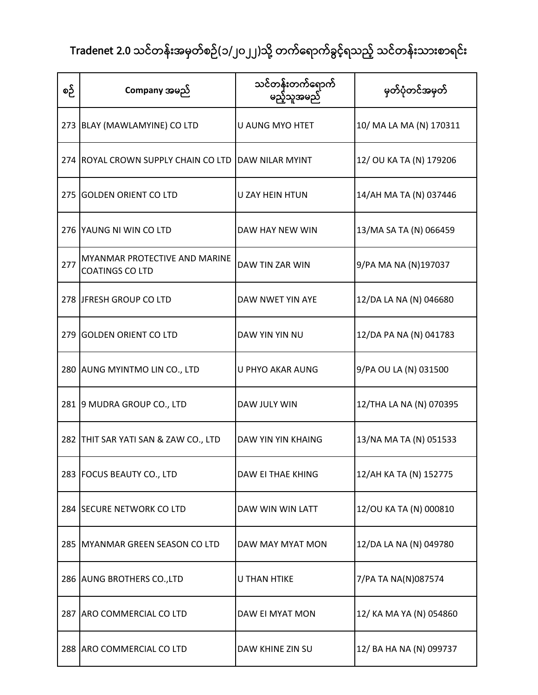| စဉ် | Company အမည်                                            | သင်တန်းတက်ရောက်<br>မည့်သူအမည် | မှတ်ပုံတင်အမှတ်         |
|-----|---------------------------------------------------------|-------------------------------|-------------------------|
|     | 273 BLAY (MAWLAMYINE) CO LTD                            | U AUNG MYO HTET               | 10/ MA LA MA (N) 170311 |
|     | 274 ROYAL CROWN SUPPLY CHAIN CO LTD DAW NILAR MYINT     |                               | 12/ OU KA TA (N) 179206 |
|     | 275 GOLDEN ORIENT CO LTD                                | U ZAY HEIN HTUN               | 14/AH MA TA (N) 037446  |
|     | 276 YAUNG NI WIN CO LTD                                 | DAW HAY NEW WIN               | 13/MA SA TA (N) 066459  |
| 277 | MYANMAR PROTECTIVE AND MARINE<br><b>COATINGS CO LTD</b> | DAW TIN ZAR WIN               | 9/PA MA NA (N)197037    |
|     | 278 JFRESH GROUP CO LTD                                 | DAW NWET YIN AYE              | 12/DA LA NA (N) 046680  |
|     | 279 GOLDEN ORIENT CO LTD                                | DAW YIN YIN NU                | 12/DA PA NA (N) 041783  |
|     | 280 AUNG MYINTMO LIN CO., LTD                           | U PHYO AKAR AUNG              | 9/PA OU LA (N) 031500   |
|     | 281 9 MUDRA GROUP CO., LTD                              | DAW JULY WIN                  | 12/THA LA NA (N) 070395 |
|     | 282 THIT SAR YATI SAN & ZAW CO., LTD                    | DAW YIN YIN KHAING            | 13/NA MA TA (N) 051533  |
|     | 283 FOCUS BEAUTY CO., LTD                               | DAW EI THAE KHING             | 12/AH KA TA (N) 152775  |
|     | 284 SECURE NETWORK CO LTD                               | DAW WIN WIN LATT              | 12/OU KA TA (N) 000810  |
|     | 285 MYANMAR GREEN SEASON CO LTD                         | DAW MAY MYAT MON              | 12/DA LA NA (N) 049780  |
|     | 286 AUNG BROTHERS CO., LTD                              | <b>U THAN HTIKE</b>           | 7/PA TA NA(N)087574     |
|     | 287 ARO COMMERCIAL CO LTD                               | DAW EI MYAT MON               | 12/ KA MA YA (N) 054860 |
|     | 288 ARO COMMERCIAL CO LTD                               | DAW KHINE ZIN SU              | 12/ BA HA NA (N) 099737 |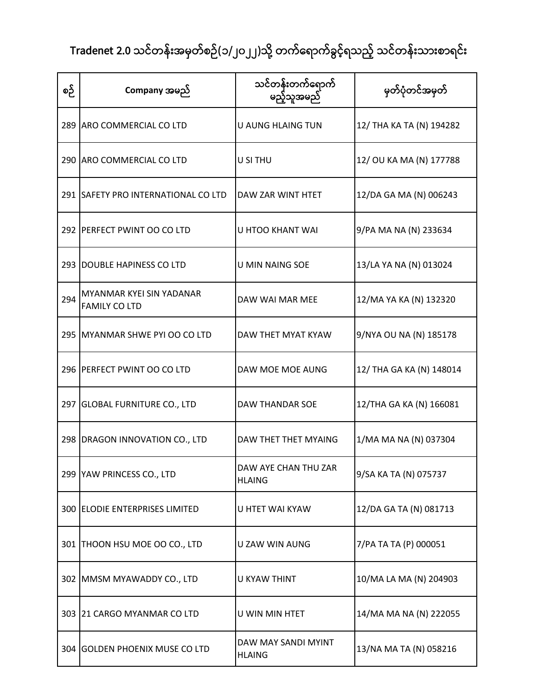| စဉ် | Company အမည်                                     | သင်တန်းတက်ရောက်<br>မည့်သူအမည်         | မှတ်ပုံတင်အမှတ်          |
|-----|--------------------------------------------------|---------------------------------------|--------------------------|
|     | 289 ARO COMMERCIAL CO LTD                        | U AUNG HLAING TUN                     | 12/ THA KA TA (N) 194282 |
|     | 290 ARO COMMERCIAL CO LTD                        | U SI THU                              | 12/ OU KA MA (N) 177788  |
|     | 291 SAFETY PRO INTERNATIONAL CO LTD              | DAW ZAR WINT HTET                     | 12/DA GA MA (N) 006243   |
|     | 292 PERFECT PWINT OO CO LTD                      | U HTOO KHANT WAI                      | 9/PA MA NA (N) 233634    |
|     | 293 DOUBLE HAPINESS CO LTD                       | <b>U MIN NAING SOE</b>                | 13/LA YA NA (N) 013024   |
| 294 | MYANMAR KYEI SIN YADANAR<br><b>FAMILY CO LTD</b> | DAW WAI MAR MEE                       | 12/MA YA KA (N) 132320   |
|     | 295 MYANMAR SHWE PYI OO CO LTD                   | DAW THET MYAT KYAW                    | 9/NYA OU NA (N) 185178   |
|     | 296 PERFECT PWINT OO CO LTD                      | DAW MOE MOE AUNG                      | 12/ THA GA KA (N) 148014 |
|     | 297 GLOBAL FURNITURE CO., LTD                    | DAW THANDAR SOE                       | 12/THA GA KA (N) 166081  |
|     | 298   DRAGON INNOVATION CO., LTD                 | DAW THET THET MYAING                  | 1/MA MA NA (N) 037304    |
|     | 299 YAW PRINCESS CO., LTD                        | DAW AYE CHAN THU ZAR<br><b>HLAING</b> | 9/SA KA TA (N) 075737    |
|     | 300 ELODIE ENTERPRISES LIMITED                   | U HTET WAI KYAW                       | 12/DA GA TA (N) 081713   |
|     | 301   THOON HSU MOE OO CO., LTD                  | U ZAW WIN AUNG                        | 7/PA TA TA (P) 000051    |
|     | 302 MMSM MYAWADDY CO., LTD                       | U KYAW THINT                          | 10/MA LA MA (N) 204903   |
|     | 303 21 CARGO MYANMAR CO LTD                      | U WIN MIN HTET                        | 14/MA MA NA (N) 222055   |
|     | 304 GOLDEN PHOENIX MUSE CO LTD                   | DAW MAY SANDI MYINT<br><b>HLAING</b>  | 13/NA MA TA (N) 058216   |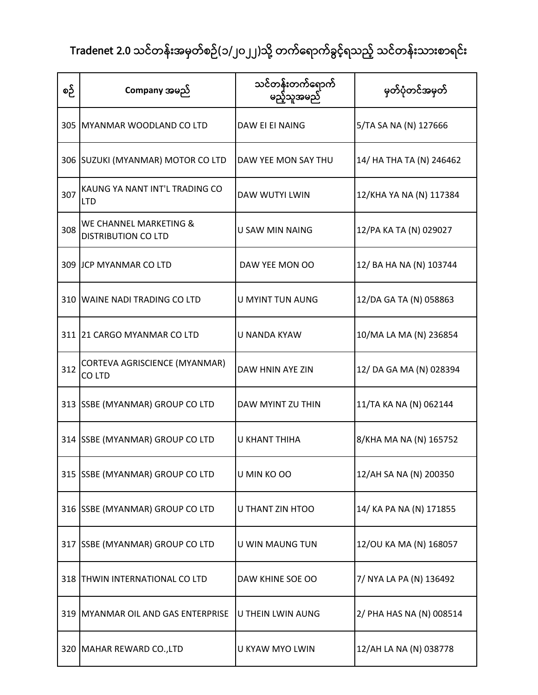| စဉ် | Company အမည်                                         | သင်တန်းတက်ရောက်<br>မည့်သူအမည် | မှတ်ပုံတင်အမှတ်          |
|-----|------------------------------------------------------|-------------------------------|--------------------------|
|     | 305 MYANMAR WOODLAND CO LTD                          | DAW EI EI NAING               | 5/TA SA NA (N) 127666    |
|     | 306 SUZUKI (MYANMAR) MOTOR CO LTD                    | DAW YEE MON SAY THU           | 14/ HA THA TA (N) 246462 |
| 307 | KAUNG YA NANT INT'L TRADING CO<br><b>LTD</b>         | <b>DAW WUTYI LWIN</b>         | 12/KHA YA NA (N) 117384  |
| 308 | WE CHANNEL MARKETING &<br><b>DISTRIBUTION CO LTD</b> | U SAW MIN NAING               | 12/PA KA TA (N) 029027   |
|     | 309 JCP MYANMAR CO LTD                               | DAW YEE MON OO                | 12/ BA HA NA (N) 103744  |
|     | 310 WAINE NADI TRADING CO LTD                        | <b>U MYINT TUN AUNG</b>       | 12/DA GA TA (N) 058863   |
|     | 311 21 CARGO MYANMAR CO LTD                          | U NANDA KYAW                  | 10/MA LA MA (N) 236854   |
| 312 | CORTEVA AGRISCIENCE (MYANMAR)<br>CO LTD              | DAW HNIN AYE ZIN              | 12/ DA GA MA (N) 028394  |
|     | 313 SSBE (MYANMAR) GROUP CO LTD                      | DAW MYINT ZU THIN             | 11/TA KA NA (N) 062144   |
|     | 314 SSBE (MYANMAR) GROUP CO LTD                      | U KHANT THIHA                 | 8/KHA MA NA (N) 165752   |
|     | 315 SSBE (MYANMAR) GROUP CO LTD                      | U MIN KO OO                   | 12/AH SA NA (N) 200350   |
|     | 316 SSBE (MYANMAR) GROUP CO LTD                      | U THANT ZIN HTOO              | 14/ KA PA NA (N) 171855  |
|     | 317 SSBE (MYANMAR) GROUP CO LTD                      | U WIN MAUNG TUN               | 12/OU KA MA (N) 168057   |
|     | 318 THWIN INTERNATIONAL CO LTD                       | DAW KHINE SOE OO              | 7/ NYA LA PA (N) 136492  |
|     | 319   MYANMAR OIL AND GAS ENTERPRISE                 | U THEIN LWIN AUNG             | 2/ PHA HAS NA (N) 008514 |
|     | 320 MAHAR REWARD CO., LTD                            | U KYAW MYO LWIN               | 12/AH LA NA (N) 038778   |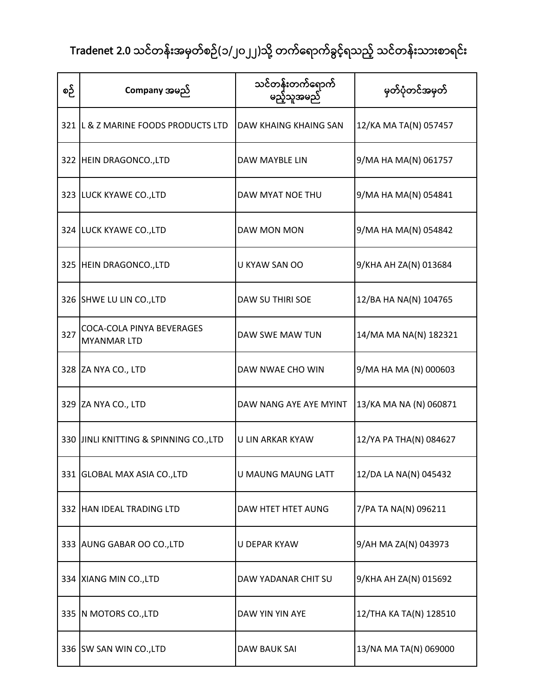| စဉ် | Company အမည်                                    | သင်တန်းတက်ရောက်<br>မည့်သူအမည် | မှတ်ပုံတင်အမှတ်        |
|-----|-------------------------------------------------|-------------------------------|------------------------|
|     | 321 L & Z MARINE FOODS PRODUCTS LTD             | DAW KHAING KHAING SAN         | 12/KA MA TA(N) 057457  |
|     | 322 HEIN DRAGONCO., LTD                         | DAW MAYBLE LIN                | 9/MA HA MA(N) 061757   |
|     | 323 LUCK KYAWE CO., LTD                         | DAW MYAT NOE THU              | 9/MA HA MA(N) 054841   |
|     | 324 LUCK KYAWE CO., LTD                         | DAW MON MON                   | 9/MA HA MA(N) 054842   |
|     | 325 HEIN DRAGONCO., LTD                         | U KYAW SAN OO                 | 9/KHA AH ZA(N) 013684  |
|     | 326 SHWE LU LIN CO., LTD                        | DAW SU THIRI SOE              | 12/BA HA NA(N) 104765  |
| 327 | COCA-COLA PINYA BEVERAGES<br><b>MYANMAR LTD</b> | DAW SWE MAW TUN               | 14/MA MA NA(N) 182321  |
|     | 328 ZA NYA CO., LTD                             | DAW NWAE CHO WIN              | 9/MA HA MA (N) 000603  |
|     | 329 ZA NYA CO., LTD                             | DAW NANG AYE AYE MYINT        | 13/KA MA NA (N) 060871 |
|     | 330 JINLI KNITTING & SPINNING CO., LTD          | U LIN ARKAR KYAW              | 12/YA PA THA(N) 084627 |
|     | 331 GLOBAL MAX ASIA CO., LTD                    | U MAUNG MAUNG LATT            | 12/DA LA NA(N) 045432  |
|     | 332 HAN IDEAL TRADING LTD                       | DAW HTET HTET AUNG            | 7/PA TA NA(N) 096211   |
|     | 333 AUNG GABAR OO CO., LTD                      | <b>U DEPAR KYAW</b>           | 9/AH MA ZA(N) 043973   |
|     | 334 XIANG MIN CO., LTD                          | DAW YADANAR CHIT SU           | 9/KHA AH ZA(N) 015692  |
|     | 335 N MOTORS CO., LTD                           | DAW YIN YIN AYE               | 12/THA KA TA(N) 128510 |
|     | 336 SW SAN WIN CO., LTD                         | DAW BAUK SAI                  | 13/NA MA TA(N) 069000  |